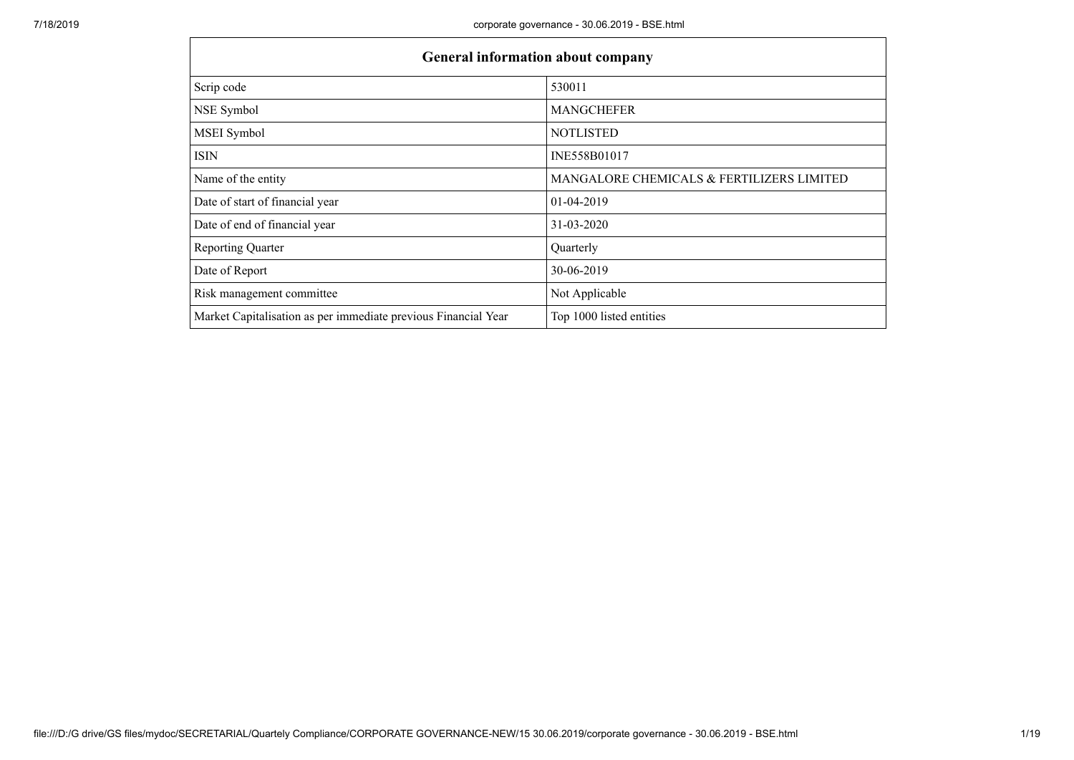| <b>General information about company</b>                       |                                           |
|----------------------------------------------------------------|-------------------------------------------|
| Scrip code                                                     | 530011                                    |
| NSE Symbol                                                     | <b>MANGCHEFER</b>                         |
| MSEI Symbol                                                    | <b>NOTLISTED</b>                          |
| <b>ISIN</b>                                                    | INE558B01017                              |
| Name of the entity                                             | MANGALORE CHEMICALS & FERTILIZERS LIMITED |
| Date of start of financial year                                | 01-04-2019                                |
| Date of end of financial year                                  | 31-03-2020                                |
| <b>Reporting Quarter</b>                                       | Quarterly                                 |
| Date of Report                                                 | 30-06-2019                                |
| Risk management committee                                      | Not Applicable                            |
| Market Capitalisation as per immediate previous Financial Year | Top 1000 listed entities                  |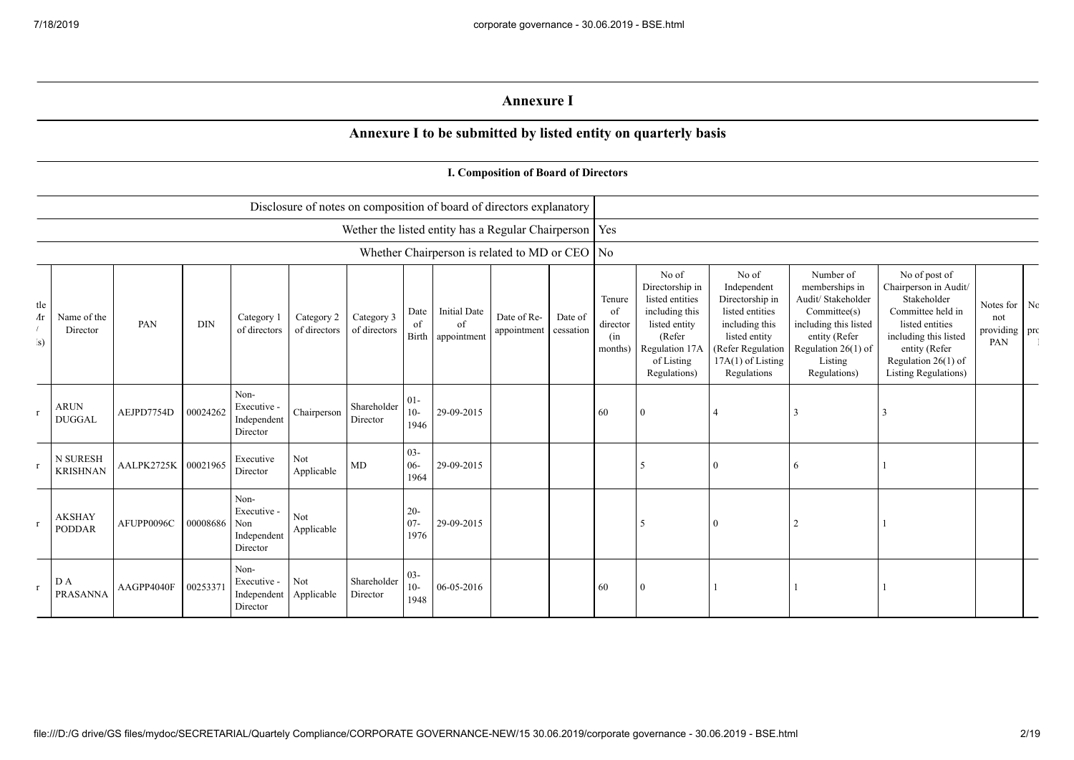## **Annexure I**

## **Annexure I to be submitted by listed entity on quarterly basis**

|                                     |                                |            |            |                                                           |                            |                            |                          |                                                | I. Composition of Board of Directors                                 |                      |                                            |                                                                                                                                          |                                                                                                                                                          |                                                                                                                                                                 |                                                                                                                                                                                                  |                                             |  |
|-------------------------------------|--------------------------------|------------|------------|-----------------------------------------------------------|----------------------------|----------------------------|--------------------------|------------------------------------------------|----------------------------------------------------------------------|----------------------|--------------------------------------------|------------------------------------------------------------------------------------------------------------------------------------------|----------------------------------------------------------------------------------------------------------------------------------------------------------|-----------------------------------------------------------------------------------------------------------------------------------------------------------------|--------------------------------------------------------------------------------------------------------------------------------------------------------------------------------------------------|---------------------------------------------|--|
|                                     |                                |            |            |                                                           |                            |                            |                          |                                                | Disclosure of notes on composition of board of directors explanatory |                      |                                            |                                                                                                                                          |                                                                                                                                                          |                                                                                                                                                                 |                                                                                                                                                                                                  |                                             |  |
|                                     |                                |            |            |                                                           |                            |                            |                          |                                                | Wether the listed entity has a Regular Chairperson   Yes             |                      |                                            |                                                                                                                                          |                                                                                                                                                          |                                                                                                                                                                 |                                                                                                                                                                                                  |                                             |  |
|                                     |                                |            |            |                                                           |                            |                            |                          |                                                | Whether Chairperson is related to MD or CEO   No                     |                      |                                            |                                                                                                                                          |                                                                                                                                                          |                                                                                                                                                                 |                                                                                                                                                                                                  |                                             |  |
| tle<br>$\Lambda$ r<br>$\mathbf{s})$ | Name of the<br>Director        | PAN        | <b>DIN</b> | Category 1<br>of directors                                | Category 2<br>of directors | Category 3<br>of directors | Date<br>of               | <b>Initial Date</b><br>of<br>Birth appointment | Date of Re-<br>appointment                                           | Date of<br>cessation | Tenure<br>of<br>director<br>(in<br>months) | No of<br>Directorship in<br>listed entities<br>including this<br>listed entity<br>(Refer<br>Regulation 17A<br>of Listing<br>Regulations) | No of<br>Independent<br>Directorship in<br>listed entities<br>including this<br>listed entity<br>(Refer Regulation<br>$17A(1)$ of Listing<br>Regulations | Number of<br>memberships in<br>Audit/ Stakeholder<br>Committee(s)<br>including this listed<br>entity (Refer<br>Regulation $26(1)$ of<br>Listing<br>Regulations) | No of post of<br>Chairperson in Audit/<br>Stakeholder<br>Committee held in<br>listed entities<br>including this listed<br>entity (Refer<br>Regulation $26(1)$ of<br><b>Listing Regulations</b> ) | Notes for Nc<br>not<br>providing pro<br>PAN |  |
| $\mathbf{r}$                        | <b>ARUN</b><br><b>DUGGAL</b>   | AEJPD7754D | 00024262   | Non-<br>Executive -<br>Independent<br>Director            | Chairperson                | Shareholder<br>Director    | $01 -$<br>$10-$<br>1946  | 29-09-2015                                     |                                                                      |                      | 60                                         | $\Omega$                                                                                                                                 | $\overline{4}$                                                                                                                                           |                                                                                                                                                                 |                                                                                                                                                                                                  |                                             |  |
| $\mathbf{r}$                        | N SURESH<br><b>KRISHNAN</b>    | AALPK2725K | 00021965   | Executive<br>Director                                     | Not<br>Applicable          | MD                         | $03 -$<br>$06 -$<br>1964 | 29-09-2015                                     |                                                                      |                      |                                            | 5                                                                                                                                        | $\overline{0}$                                                                                                                                           | -6                                                                                                                                                              |                                                                                                                                                                                                  |                                             |  |
| $\mathbf{r}$                        | <b>AKSHAY</b><br><b>PODDAR</b> | AFUPP0096C | 00008686   | Non-<br>Executive -<br>Non<br>Independent<br>Director     | Not<br>Applicable          |                            | $20 -$<br>$07 -$<br>1976 | 29-09-2015                                     |                                                                      |                      |                                            | 5                                                                                                                                        | $\Omega$                                                                                                                                                 |                                                                                                                                                                 |                                                                                                                                                                                                  |                                             |  |
|                                     | D A<br><b>PRASANNA</b>         | AAGPP4040F | 00253371   | Non-<br>Executive -<br>Independent Applicable<br>Director | Not                        | Shareholder<br>Director    | $03 -$<br>$10-$<br>1948  | 06-05-2016                                     |                                                                      |                      | 60                                         | $\bf{0}$                                                                                                                                 |                                                                                                                                                          |                                                                                                                                                                 |                                                                                                                                                                                                  |                                             |  |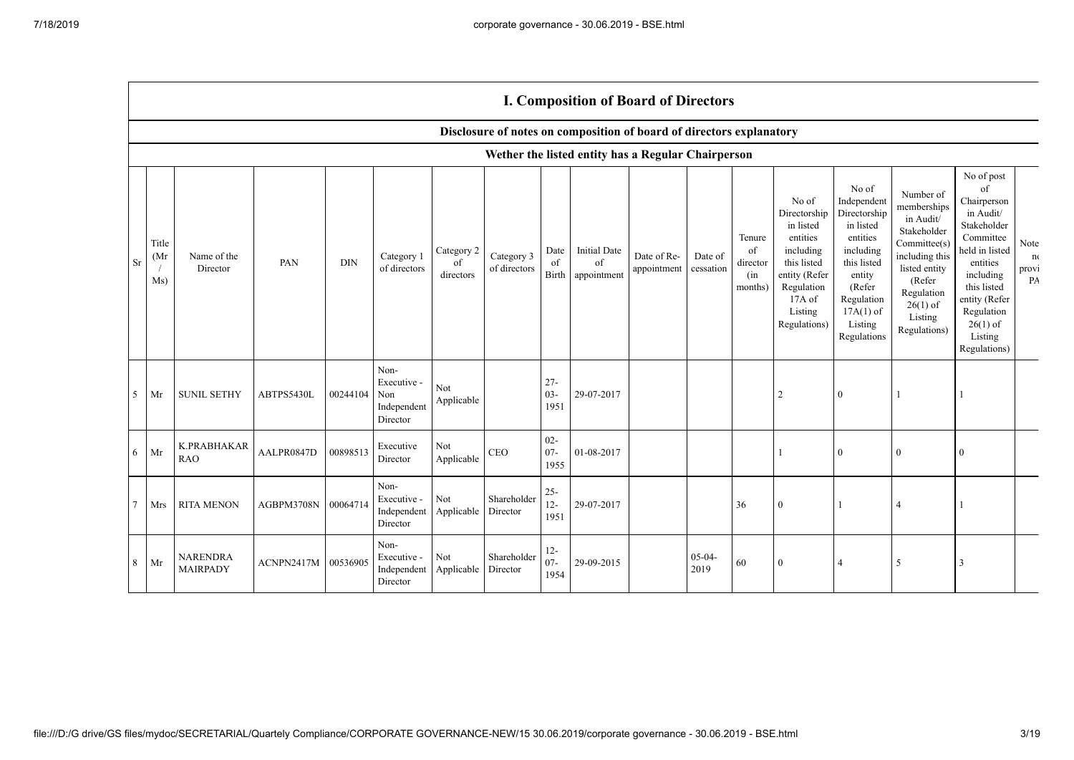|           |                      | <b>I. Composition of Board of Directors</b> |            |            |                                                       |                               |                            |                          |                                                                      |                            |                      |                                            |                                                                                                                                                |                                                                                                                                                                      |                                                                                                                                                                          |                                                                                                                                                                                                            |                           |
|-----------|----------------------|---------------------------------------------|------------|------------|-------------------------------------------------------|-------------------------------|----------------------------|--------------------------|----------------------------------------------------------------------|----------------------------|----------------------|--------------------------------------------|------------------------------------------------------------------------------------------------------------------------------------------------|----------------------------------------------------------------------------------------------------------------------------------------------------------------------|--------------------------------------------------------------------------------------------------------------------------------------------------------------------------|------------------------------------------------------------------------------------------------------------------------------------------------------------------------------------------------------------|---------------------------|
|           |                      |                                             |            |            |                                                       |                               |                            |                          | Disclosure of notes on composition of board of directors explanatory |                            |                      |                                            |                                                                                                                                                |                                                                                                                                                                      |                                                                                                                                                                          |                                                                                                                                                                                                            |                           |
|           |                      |                                             |            |            |                                                       |                               |                            |                          | Wether the listed entity has a Regular Chairperson                   |                            |                      |                                            |                                                                                                                                                |                                                                                                                                                                      |                                                                                                                                                                          |                                                                                                                                                                                                            |                           |
| <b>Sr</b> | Title<br>(Mr)<br>Ms) | Name of the<br>Director                     | PAN        | <b>DIN</b> | Category 1<br>of directors                            | Category 2<br>of<br>directors | Category 3<br>of directors | Date<br>of<br>Birth      | <b>Initial Date</b><br>of<br>appointment                             | Date of Re-<br>appointment | Date of<br>cessation | Tenure<br>of<br>director<br>(in<br>months) | No of<br>Directorship<br>in listed<br>entities<br>including<br>this listed<br>entity (Refer<br>Regulation<br>17A of<br>Listing<br>Regulations) | No of<br>Independent<br>Directorship<br>in listed<br>entities<br>including<br>this listed<br>entity<br>(Refer<br>Regulation<br>$17A(1)$ of<br>Listing<br>Regulations | Number of<br>memberships<br>in Audit/<br>Stakeholder<br>Committee(s)<br>including this<br>listed entity<br>(Refer<br>Regulation<br>$26(1)$ of<br>Listing<br>Regulations) | No of post<br>of<br>Chairperson<br>in Audit/<br>Stakeholder<br>Committee<br>held in listed<br>entities<br>including<br>this listed<br>entity (Refer<br>Regulation<br>$26(1)$ of<br>Listing<br>Regulations) | Note<br>n(<br>provi<br>PA |
| 5         | Mr                   | <b>SUNIL SETHY</b>                          | ABTPS5430L | 00244104   | Non-<br>Executive -<br>Non<br>Independent<br>Director | Not<br>Applicable             |                            | $27 -$<br>$03 -$<br>1951 | 29-07-2017                                                           |                            |                      |                                            |                                                                                                                                                | $\theta$                                                                                                                                                             |                                                                                                                                                                          |                                                                                                                                                                                                            |                           |
| 6         | Mr                   | K.PRABHAKAR<br><b>RAO</b>                   | AALPR0847D | 00898513   | Executive<br>Director                                 | Not<br>Applicable             | <b>CEO</b>                 | $02 -$<br>$07 -$<br>1955 | 01-08-2017                                                           |                            |                      |                                            |                                                                                                                                                | $\theta$                                                                                                                                                             | $\mathbf{0}$                                                                                                                                                             | $\theta$                                                                                                                                                                                                   |                           |
| 7         | Mrs                  | <b>RITA MENON</b>                           | AGBPM3708N | 00064714   | Non-<br>Executive -<br>Independent<br>Director        | Not<br>Applicable             | Shareholder<br>Director    | $25 -$<br>$12 -$<br>1951 | 29-07-2017                                                           |                            |                      | 36                                         | $\Omega$                                                                                                                                       |                                                                                                                                                                      | $\overline{4}$                                                                                                                                                           |                                                                                                                                                                                                            |                           |
| 8         | Mr                   | <b>NARENDRA</b><br><b>MAIRPADY</b>          | ACNPN2417M | 00536905   | Non-<br>Executive -<br>Independent<br>Director        | Not<br>Applicable             | Shareholder<br>Director    | $12 -$<br>$07 -$<br>1954 | 29-09-2015                                                           |                            | $05-04-$<br>2019     | 60                                         | $\theta$                                                                                                                                       |                                                                                                                                                                      | 5                                                                                                                                                                        | 3                                                                                                                                                                                                          |                           |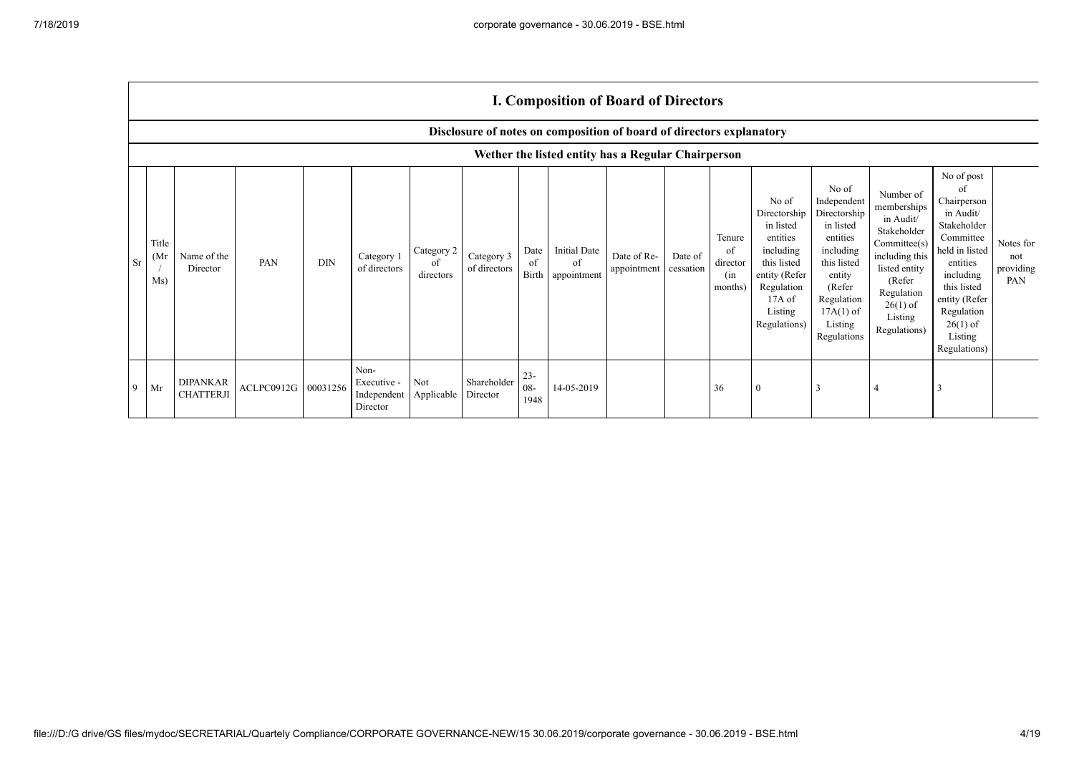$\Gamma$ 

|           |                                                                      | <b>I. Composition of Board of Directors</b>        |                     |            |                                                |                               |                            |                       |                                         |                            |                      |                                            |                                                                                                                                                |                                                                                                                                                                      |                                                                                                                                                                          |                                                                                                                                                                                                            |                                      |
|-----------|----------------------------------------------------------------------|----------------------------------------------------|---------------------|------------|------------------------------------------------|-------------------------------|----------------------------|-----------------------|-----------------------------------------|----------------------------|----------------------|--------------------------------------------|------------------------------------------------------------------------------------------------------------------------------------------------|----------------------------------------------------------------------------------------------------------------------------------------------------------------------|--------------------------------------------------------------------------------------------------------------------------------------------------------------------------|------------------------------------------------------------------------------------------------------------------------------------------------------------------------------------------------------------|--------------------------------------|
|           | Disclosure of notes on composition of board of directors explanatory |                                                    |                     |            |                                                |                               |                            |                       |                                         |                            |                      |                                            |                                                                                                                                                |                                                                                                                                                                      |                                                                                                                                                                          |                                                                                                                                                                                                            |                                      |
|           |                                                                      | Wether the listed entity has a Regular Chairperson |                     |            |                                                |                               |                            |                       |                                         |                            |                      |                                            |                                                                                                                                                |                                                                                                                                                                      |                                                                                                                                                                          |                                                                                                                                                                                                            |                                      |
| <b>Sr</b> | Title<br>(M <sub>I</sub> )<br>Ms)                                    | Name of the<br>Director                            | PAN                 | <b>DIN</b> | Category 1<br>of directors                     | Category 2<br>of<br>directors | Category 3<br>of directors | Date<br>of            | Initial Date<br>of<br>Birth appointment | Date of Re-<br>appointment | Date of<br>cessation | Tenure<br>of<br>director<br>(in<br>months) | No of<br>Directorship<br>in listed<br>entities<br>including<br>this listed<br>entity (Refer<br>Regulation<br>17A of<br>Listing<br>Regulations) | No of<br>Independent<br>Directorship<br>in listed<br>entities<br>including<br>this listed<br>entity<br>(Refer<br>Regulation<br>$17A(1)$ of<br>Listing<br>Regulations | Number of<br>memberships<br>in Audit/<br>Stakeholder<br>Committee(s)<br>including this<br>listed entity<br>(Refer<br>Regulation<br>$26(1)$ of<br>Listing<br>Regulations) | No of post<br>of<br>Chairperson<br>in Audit/<br>Stakeholder<br>Committee<br>held in listed<br>entities<br>including<br>this listed<br>entity (Refer<br>Regulation<br>$26(1)$ of<br>Listing<br>Regulations) | Notes for<br>not<br>providing<br>PAN |
| 9         | Mr                                                                   | <b>DIPANKAR</b><br><b>CHATTERJI</b>                | ACLPC0912G 00031256 |            | Non-<br>Executive -<br>Independent<br>Director | Not<br>Applicable             | Shareholder<br>Director    | $23 -$<br>08-<br>1948 | 14-05-2019                              |                            |                      | 36                                         | $\mathbf{0}$                                                                                                                                   |                                                                                                                                                                      |                                                                                                                                                                          | $\cdot$                                                                                                                                                                                                    |                                      |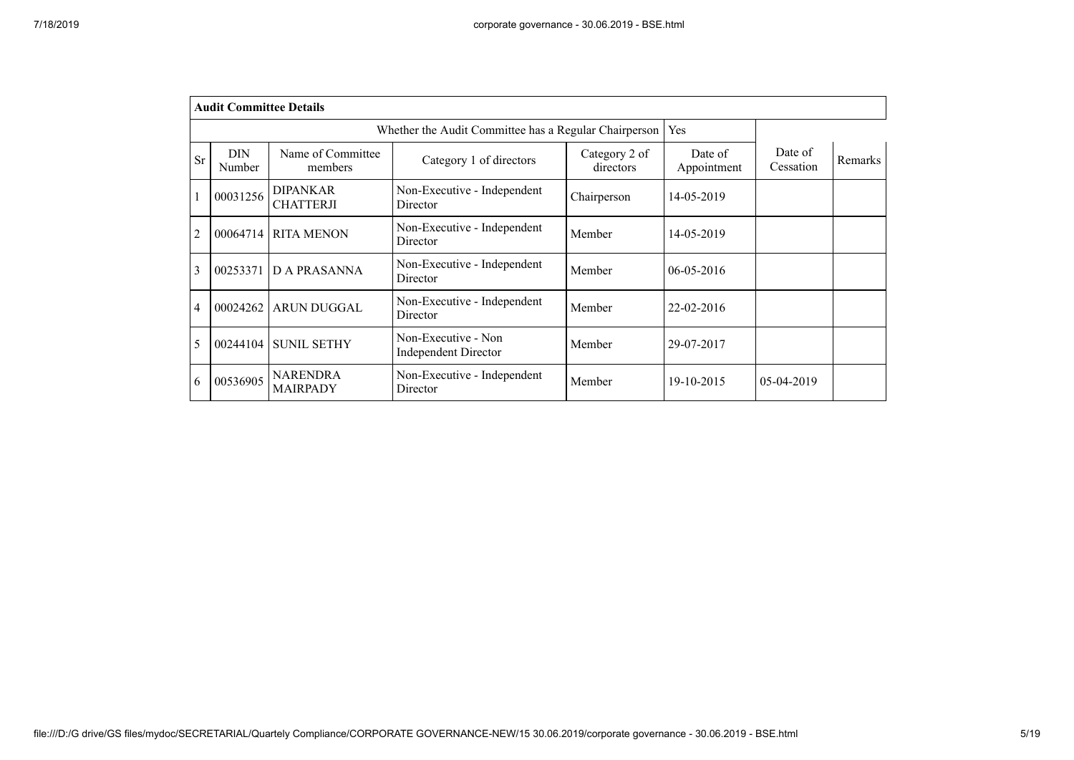|           | <b>Audit Committee Details</b> |                                     |                                                       |                            |                        |                      |         |
|-----------|--------------------------------|-------------------------------------|-------------------------------------------------------|----------------------------|------------------------|----------------------|---------|
|           |                                |                                     | Whether the Audit Committee has a Regular Chairperson |                            | Yes                    |                      |         |
| <b>Sr</b> | <b>DIN</b><br>Number           | Name of Committee<br>members        | Category 1 of directors                               | Category 2 of<br>directors | Date of<br>Appointment | Date of<br>Cessation | Remarks |
|           | 00031256                       | <b>DIPANKAR</b><br><b>CHATTERJI</b> | Non-Executive - Independent<br>Director               | Chairperson                | 14-05-2019             |                      |         |
| 2         | 00064714                       | <b>RITA MENON</b>                   | Non-Executive - Independent<br>Director               | Member                     | 14-05-2019             |                      |         |
| 3         | 00253371                       | <b>DA PRASANNA</b>                  | Non-Executive - Independent<br>Director               | Member                     | $06 - 05 - 2016$       |                      |         |
| 4         | 00024262                       | <b>ARUN DUGGAL</b>                  | Non-Executive - Independent<br>Director               | Member                     | 22-02-2016             |                      |         |
| 5         | 00244104                       | <b>SUNIL SETHY</b>                  | Non-Executive - Non<br>Independent Director           | Member                     | 29-07-2017             |                      |         |
| 6         | 00536905                       | <b>NARENDRA</b><br><b>MAIRPADY</b>  | Non-Executive - Independent<br>Director               | Member                     | 19-10-2015             | 05-04-2019           |         |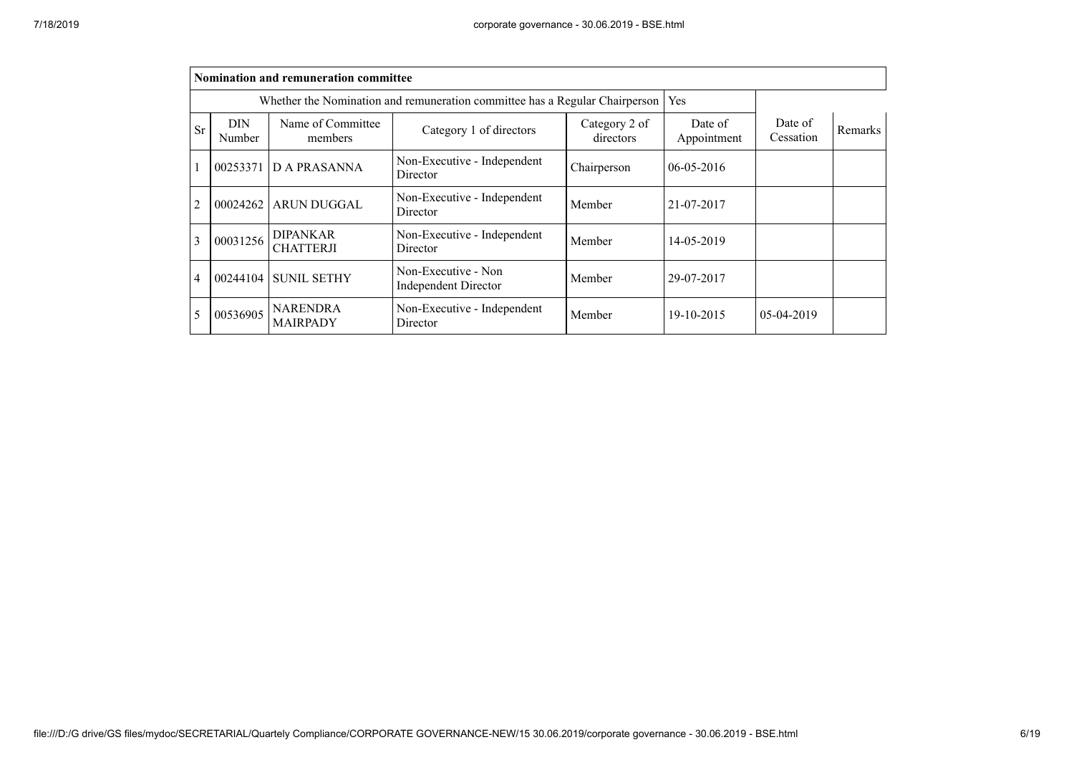|                |                      | Nomination and remuneration committee |                                                                             |                            |                        |                      |                |
|----------------|----------------------|---------------------------------------|-----------------------------------------------------------------------------|----------------------------|------------------------|----------------------|----------------|
|                |                      |                                       | Whether the Nomination and remuneration committee has a Regular Chairperson |                            | Yes                    |                      |                |
| <b>Sr</b>      | <b>DIN</b><br>Number | Name of Committee<br>members          | Category 1 of directors                                                     | Category 2 of<br>directors | Date of<br>Appointment | Date of<br>Cessation | <b>Remarks</b> |
|                |                      | 00253371 D A PRASANNA                 | Non-Executive - Independent<br>Director                                     | Chairperson                | $06-05-2016$           |                      |                |
| $\overline{2}$ | 00024262             | <b>ARUN DUGGAL</b>                    | Non-Executive - Independent<br>Director                                     | Member                     | 21-07-2017             |                      |                |
| $\overline{3}$ | 00031256             | <b>DIPANKAR</b><br><b>CHATTERJI</b>   | Non-Executive - Independent<br>Director                                     | Member                     | 14-05-2019             |                      |                |
| $\overline{4}$ | 00244104             | <b>SUNIL SETHY</b>                    | Non-Executive - Non<br>Independent Director                                 | Member                     | 29-07-2017             |                      |                |
| 5              | 00536905             | <b>NARENDRA</b><br><b>MAIRPADY</b>    | Non-Executive - Independent<br>Director                                     | Member                     | 19-10-2015             | 05-04-2019           |                |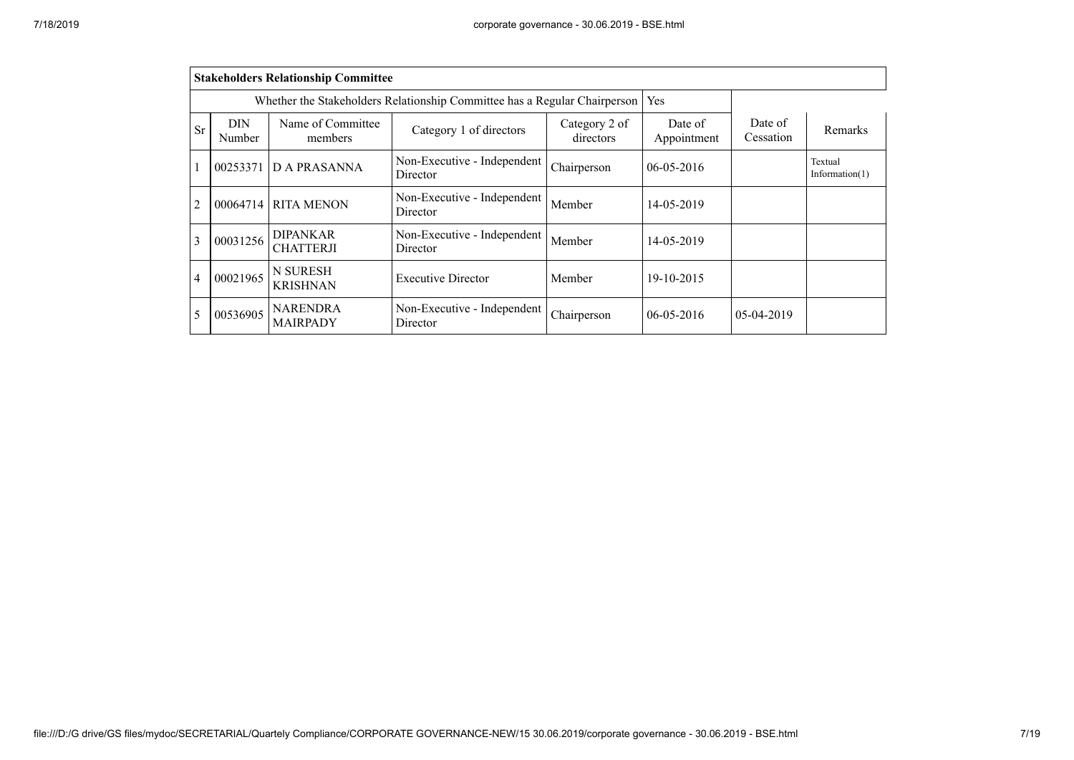|                |                      | <b>Stakeholders Relationship Committee</b> |                                                                           |                            |                        |                      |                              |
|----------------|----------------------|--------------------------------------------|---------------------------------------------------------------------------|----------------------------|------------------------|----------------------|------------------------------|
|                |                      |                                            | Whether the Stakeholders Relationship Committee has a Regular Chairperson |                            | Yes                    |                      |                              |
| <b>Sr</b>      | <b>DIN</b><br>Number | Name of Committee<br>members               | Category 1 of directors                                                   | Category 2 of<br>directors | Date of<br>Appointment | Date of<br>Cessation | Remarks                      |
|                | 00253371             | D A PRASANNA                               | Non-Executive - Independent<br>Director                                   | Chairperson                | $06-05-2016$           |                      | Textual<br>Information $(1)$ |
| $\overline{2}$ | 00064714             | <b>RITA MENON</b>                          | Non-Executive - Independent<br>Director                                   | Member                     | 14-05-2019             |                      |                              |
| $\overline{3}$ | 00031256             | <b>DIPANKAR</b><br><b>CHATTERJI</b>        | Non-Executive - Independent<br>Director                                   | Member                     | 14-05-2019             |                      |                              |
| $\overline{4}$ | 00021965             | N SURESH<br><b>KRISHNAN</b>                | <b>Executive Director</b>                                                 | Member                     | 19-10-2015             |                      |                              |
| 5              | 00536905             | NARENDRA<br><b>MAIRPADY</b>                | Non-Executive - Independent<br>Director                                   | Chairperson                | $06-05-2016$           | 05-04-2019           |                              |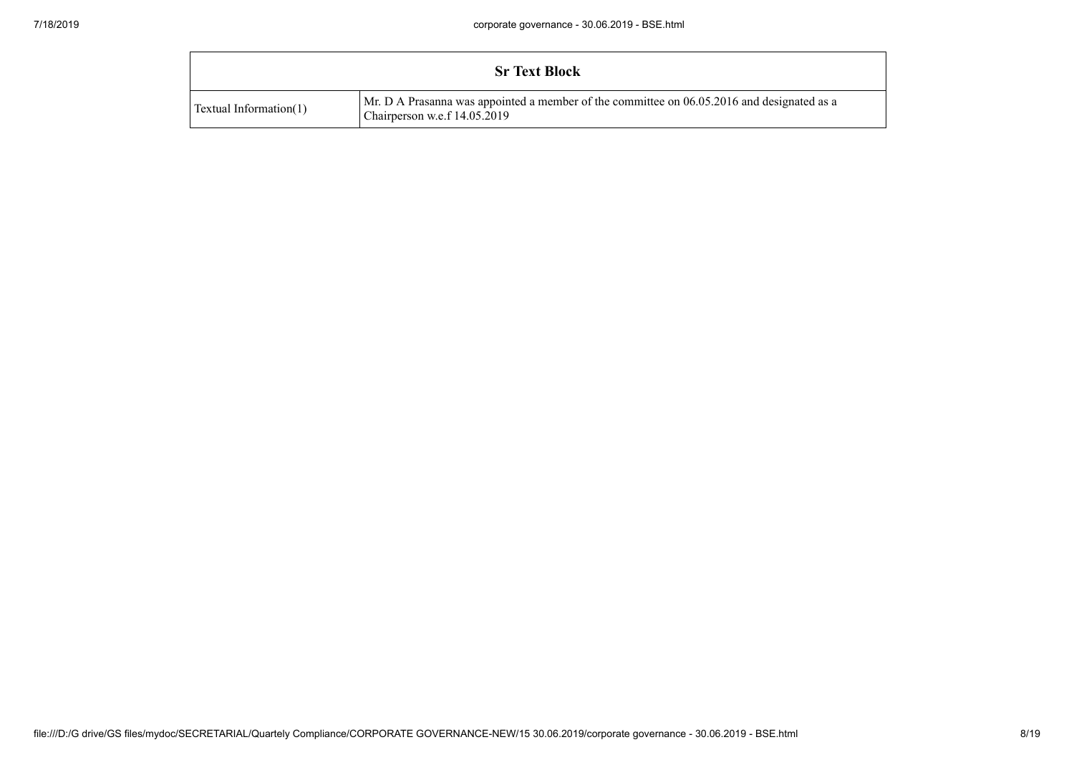|                        | <b>Sr Text Block</b>                                                                                                       |
|------------------------|----------------------------------------------------------------------------------------------------------------------------|
| Textual Information(1) | Mr. D A Prasanna was appointed a member of the committee on 06.05.2016 and designated as a<br>Chairperson w.e.f 14.05.2019 |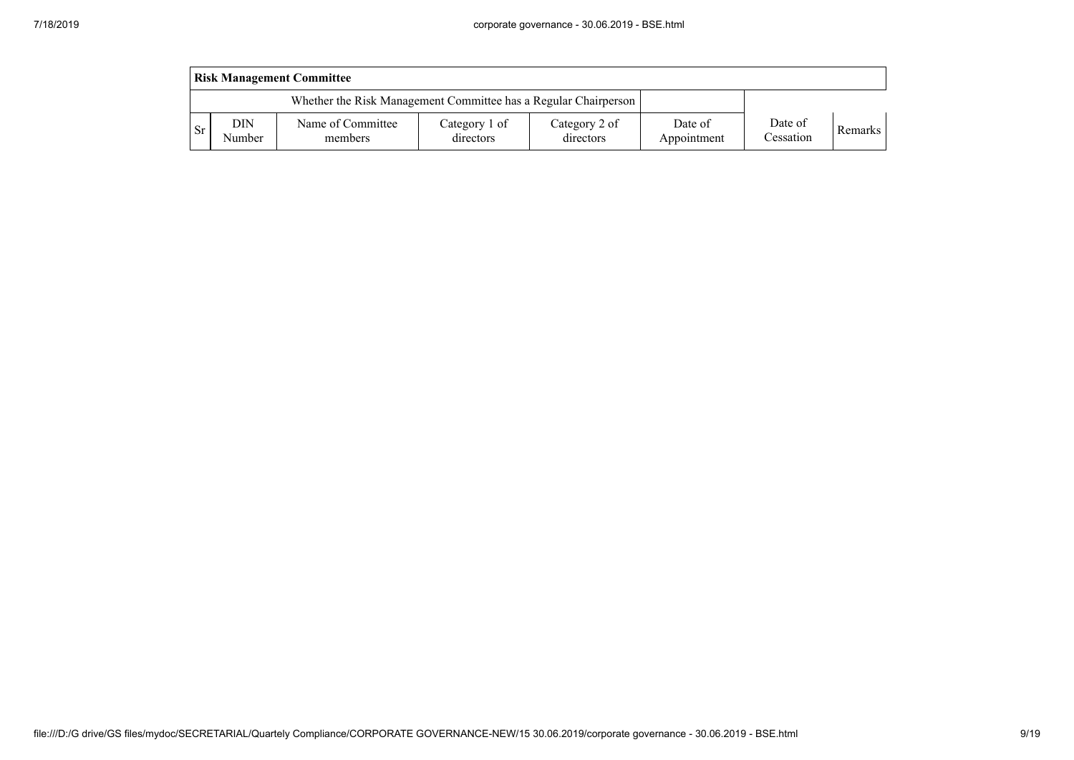|                                                                 | <b>Risk Management Committee</b> |                              |                            |                            |                        |                      |                |  |  |  |  |
|-----------------------------------------------------------------|----------------------------------|------------------------------|----------------------------|----------------------------|------------------------|----------------------|----------------|--|--|--|--|
| Whether the Risk Management Committee has a Regular Chairperson |                                  |                              |                            |                            |                        |                      |                |  |  |  |  |
| -Sr                                                             | DIN<br>Number                    | Name of Committee<br>members | Category 1 of<br>directors | Category 2 of<br>directors | Date of<br>Appointment | Date of<br>Cessation | <b>Remarks</b> |  |  |  |  |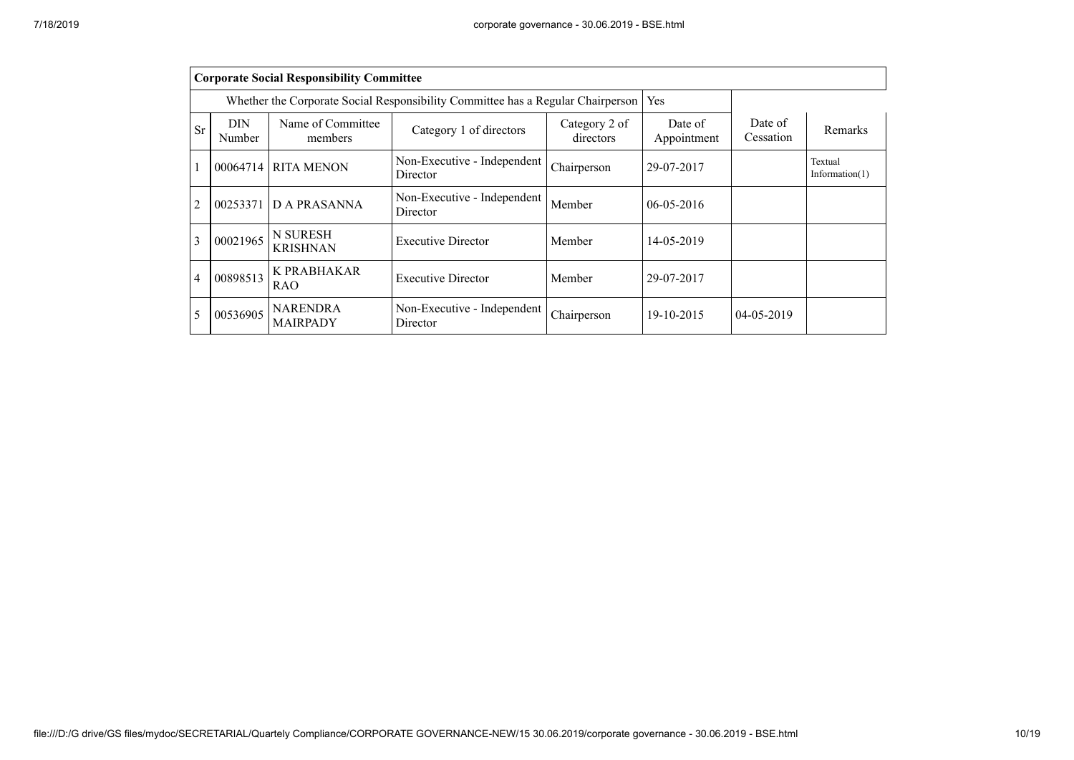|                |                             | <b>Corporate Social Responsibility Committee</b> |                                                                                 |                            |                        |                      |                              |
|----------------|-----------------------------|--------------------------------------------------|---------------------------------------------------------------------------------|----------------------------|------------------------|----------------------|------------------------------|
|                |                             |                                                  | Whether the Corporate Social Responsibility Committee has a Regular Chairperson |                            | Yes                    |                      |                              |
| Sr             | <b>DIN</b><br><b>Number</b> | Name of Committee<br>members                     | Category 1 of directors                                                         | Category 2 of<br>directors | Date of<br>Appointment | Date of<br>Cessation | Remarks                      |
| 1              | 00064714                    | <b>RITA MENON</b>                                | Non-Executive - Independent<br>Director                                         | Chairperson                | 29-07-2017             |                      | Textual<br>Information $(1)$ |
| $\overline{2}$ | 00253371                    | <b>D A PRASANNA</b>                              | Non-Executive - Independent<br>Director                                         | Member                     | $06-05-2016$           |                      |                              |
| 3              | 00021965                    | <b>N SURESH</b><br><b>KRISHNAN</b>               | <b>Executive Director</b>                                                       | Member                     | 14-05-2019             |                      |                              |
| $\overline{4}$ | 00898513                    | K PRABHAKAR<br><b>RAO</b>                        | <b>Executive Director</b>                                                       | Member                     | 29-07-2017             |                      |                              |
| 5              | 00536905                    | <b>NARENDRA</b><br><b>MAIRPADY</b>               | Non-Executive - Independent<br>Director                                         | Chairperson                | 19-10-2015             | 04-05-2019           |                              |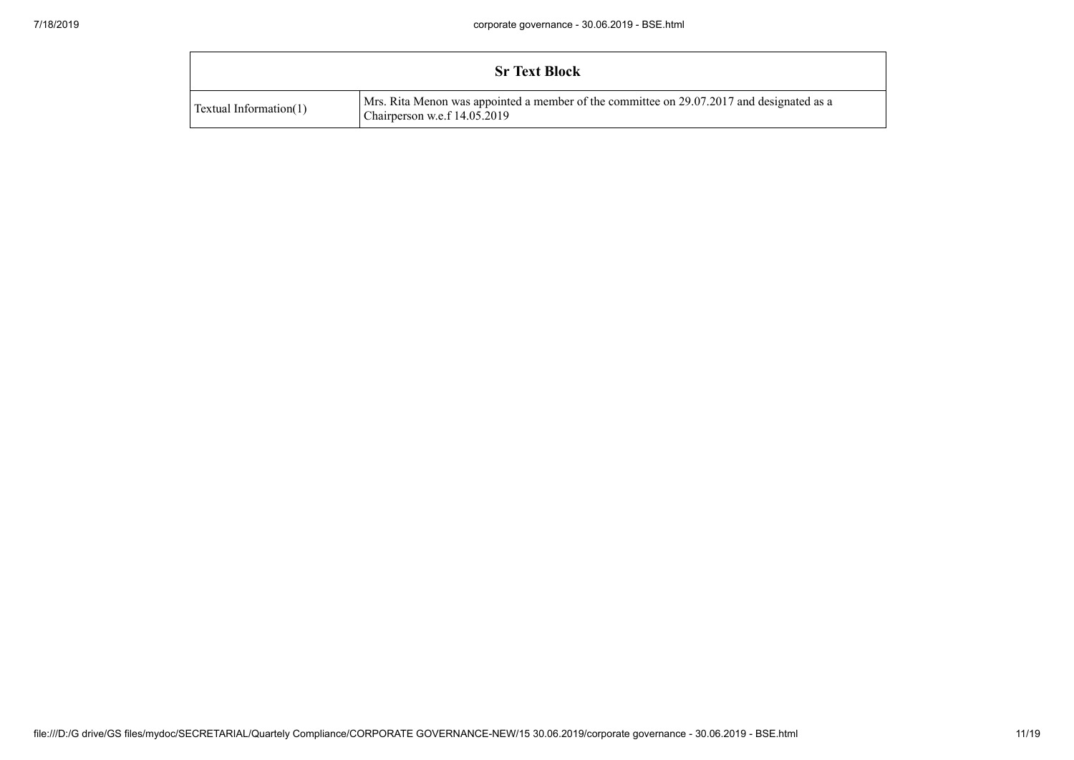|                        | <b>Sr Text Block</b>                                                                                                        |
|------------------------|-----------------------------------------------------------------------------------------------------------------------------|
| Textual Information(1) | Mrs. Rita Menon was appointed a member of the committee on 29.07.2017 and designated as a<br>Chairperson w.e.f $14.05.2019$ |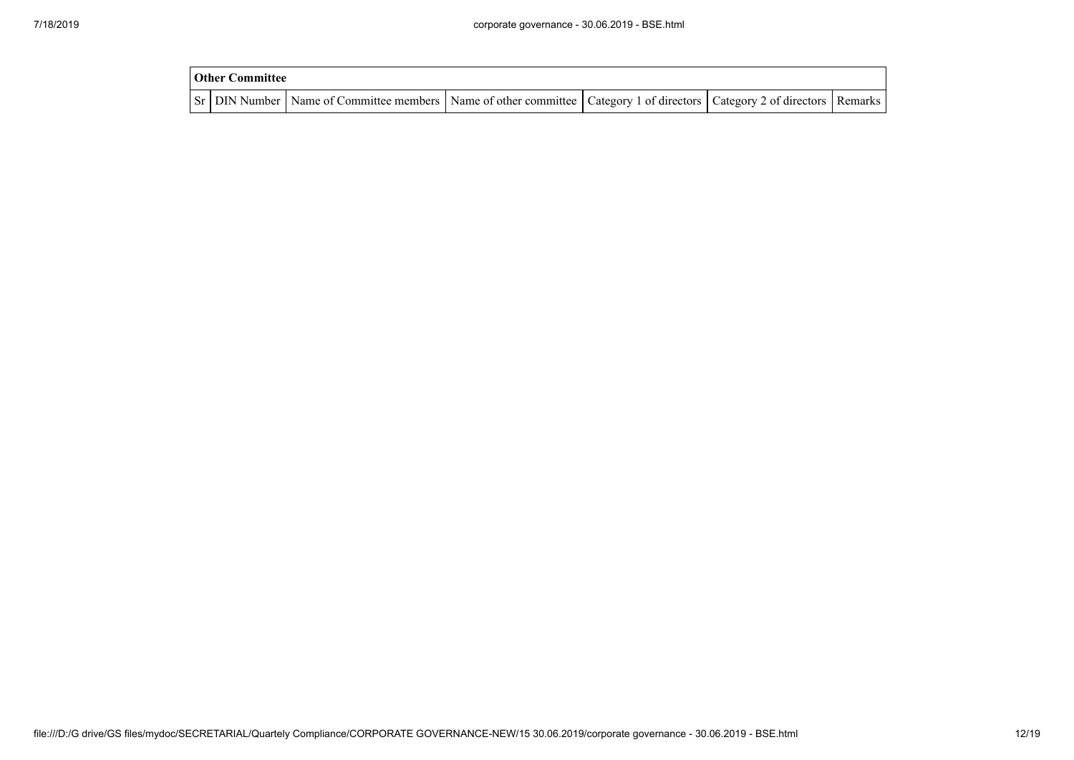| Other Committee |                                                                                                                                     |  |  |  |  |  |  |  |  |
|-----------------|-------------------------------------------------------------------------------------------------------------------------------------|--|--|--|--|--|--|--|--|
|                 | Sr   DIN Number   Name of Committee members   Name of other committee   Category 1 of directors   Category 2 of directors   Remarks |  |  |  |  |  |  |  |  |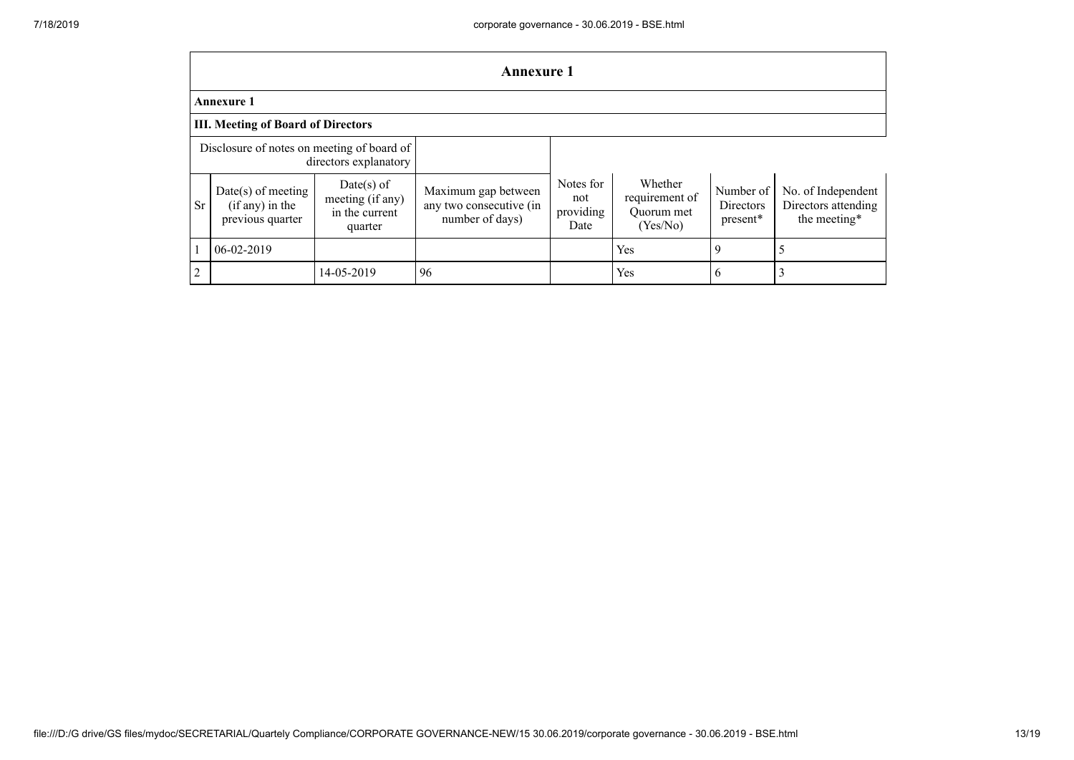|                                                                     | <b>Annexure 1</b>                                             |                                                               |                                                                   |                                       |                                                     |                                    |                                                           |
|---------------------------------------------------------------------|---------------------------------------------------------------|---------------------------------------------------------------|-------------------------------------------------------------------|---------------------------------------|-----------------------------------------------------|------------------------------------|-----------------------------------------------------------|
| <b>Annexure 1</b>                                                   |                                                               |                                                               |                                                                   |                                       |                                                     |                                    |                                                           |
| <b>III. Meeting of Board of Directors</b>                           |                                                               |                                                               |                                                                   |                                       |                                                     |                                    |                                                           |
| Disclosure of notes on meeting of board of<br>directors explanatory |                                                               |                                                               |                                                                   |                                       |                                                     |                                    |                                                           |
| <b>Sr</b>                                                           | $Date(s)$ of meeting<br>$(if any)$ in the<br>previous quarter | $Date(s)$ of<br>meeting (if any)<br>in the current<br>quarter | Maximum gap between<br>any two consecutive (in<br>number of days) | Notes for<br>not<br>providing<br>Date | Whether<br>requirement of<br>Ouorum met<br>(Yes/No) | Number of<br>Directors<br>present* | No. of Independent<br>Directors attending<br>the meeting* |
|                                                                     | $06 - 02 - 2019$                                              |                                                               |                                                                   |                                       | Yes                                                 | 9                                  |                                                           |
| $\overline{c}$                                                      |                                                               | 14-05-2019                                                    | 96                                                                |                                       | Yes                                                 | 6                                  | 3                                                         |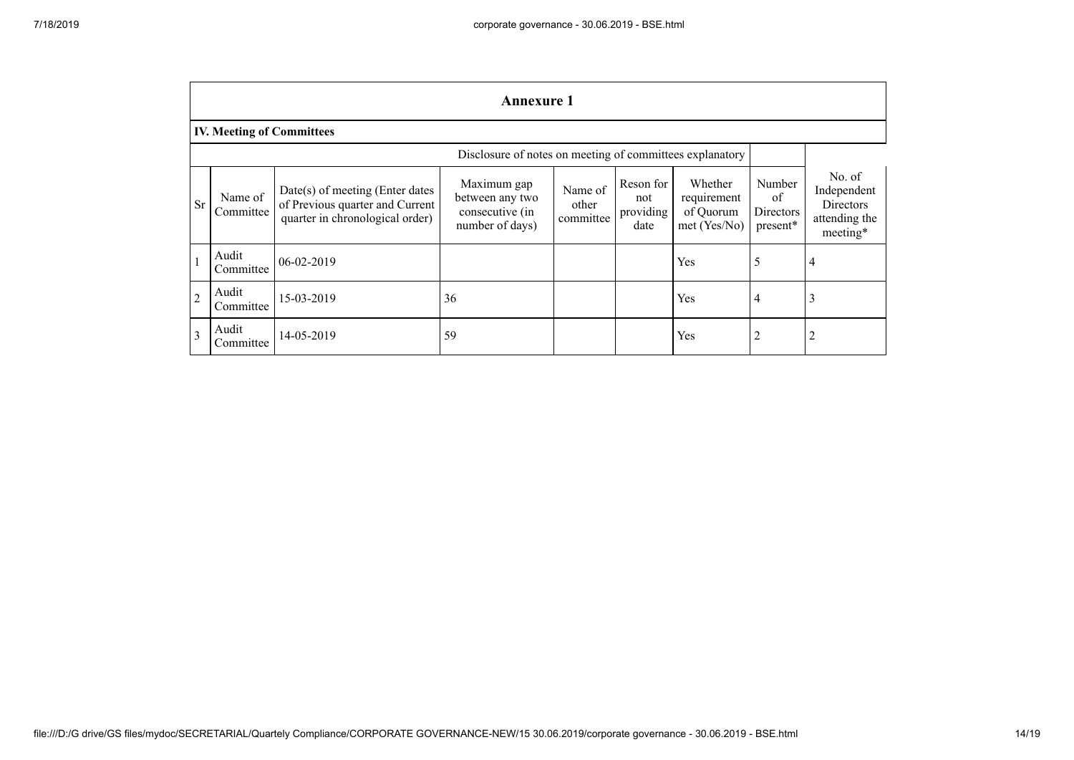|                                                          | <b>Annexure 1</b>                |                                                                                                         |                                                                      |                               |                                       |                                                       |                                       |                                                                        |
|----------------------------------------------------------|----------------------------------|---------------------------------------------------------------------------------------------------------|----------------------------------------------------------------------|-------------------------------|---------------------------------------|-------------------------------------------------------|---------------------------------------|------------------------------------------------------------------------|
|                                                          | <b>IV. Meeting of Committees</b> |                                                                                                         |                                                                      |                               |                                       |                                                       |                                       |                                                                        |
| Disclosure of notes on meeting of committees explanatory |                                  |                                                                                                         |                                                                      |                               |                                       |                                                       |                                       |                                                                        |
| <b>Sr</b>                                                | Name of<br>Committee             | $Date(s)$ of meeting (Enter dates<br>of Previous quarter and Current<br>quarter in chronological order) | Maximum gap<br>between any two<br>consecutive (in<br>number of days) | Name of<br>other<br>committee | Reson for<br>not<br>providing<br>date | Whether<br>requirement<br>of Quorum<br>$met$ (Yes/No) | Number<br>of<br>Directors<br>present* | No. of<br>Independent<br><b>Directors</b><br>attending the<br>meeting* |
|                                                          | Audit<br>Committee               | 06-02-2019                                                                                              |                                                                      |                               |                                       | Yes                                                   | 5                                     | 4                                                                      |
| $\overline{c}$                                           | Audit<br>Committee               | 15-03-2019                                                                                              | 36                                                                   |                               |                                       | Yes                                                   | $\overline{4}$                        | 3                                                                      |
| $\mathbf{3}$                                             | Audit<br>Committee               | 14-05-2019                                                                                              | 59                                                                   |                               |                                       | Yes                                                   | $\overline{2}$                        | $\overline{2}$                                                         |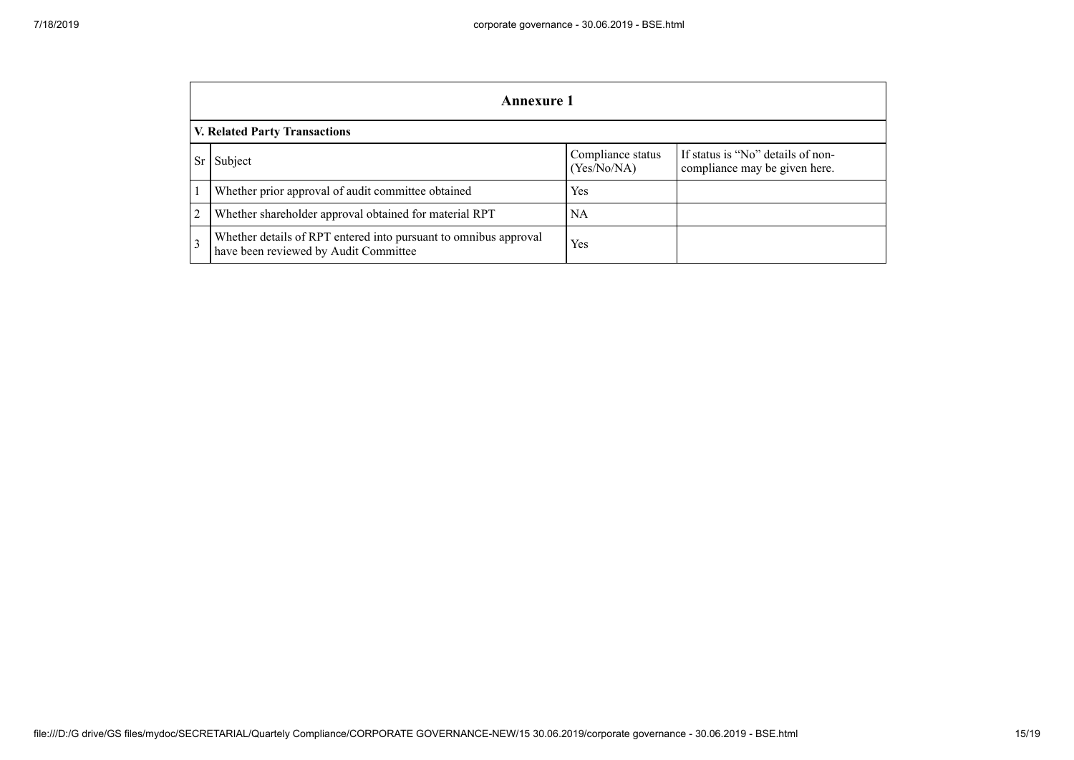|                                      | <b>Annexure 1</b>                                                                                         |                                  |                                                                    |  |  |
|--------------------------------------|-----------------------------------------------------------------------------------------------------------|----------------------------------|--------------------------------------------------------------------|--|--|
| <b>V. Related Party Transactions</b> |                                                                                                           |                                  |                                                                    |  |  |
|                                      | Subject                                                                                                   | Compliance status<br>(Yes/No/NA) | If status is "No" details of non-<br>compliance may be given here. |  |  |
|                                      | Whether prior approval of audit committee obtained                                                        | <b>Yes</b>                       |                                                                    |  |  |
| 2                                    | Whether shareholder approval obtained for material RPT                                                    | <b>NA</b>                        |                                                                    |  |  |
| $\mathcal{R}$                        | Whether details of RPT entered into pursuant to omnibus approval<br>have been reviewed by Audit Committee | Yes                              |                                                                    |  |  |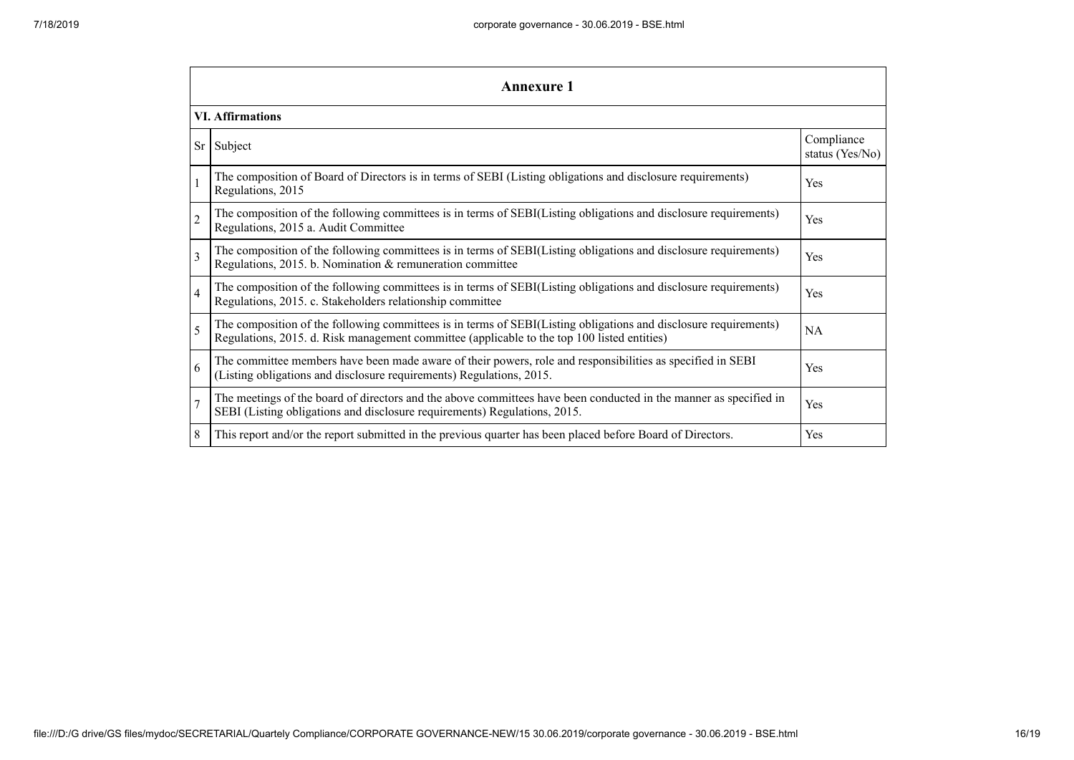|                | Annexure 1                                                                                                                                                                                                      |                               |  |  |  |  |
|----------------|-----------------------------------------------------------------------------------------------------------------------------------------------------------------------------------------------------------------|-------------------------------|--|--|--|--|
|                | <b>VI. Affirmations</b>                                                                                                                                                                                         |                               |  |  |  |  |
| Sr             | Subject                                                                                                                                                                                                         | Compliance<br>status (Yes/No) |  |  |  |  |
|                | The composition of Board of Directors is in terms of SEBI (Listing obligations and disclosure requirements)<br>Regulations, 2015                                                                                | Yes                           |  |  |  |  |
| $\overline{2}$ | The composition of the following committees is in terms of SEBI(Listing obligations and disclosure requirements)<br>Regulations, 2015 a. Audit Committee                                                        | Yes                           |  |  |  |  |
| 3              | The composition of the following committees is in terms of SEBI(Listing obligations and disclosure requirements)<br>Regulations, 2015. b. Nomination & remuneration committee                                   | Yes                           |  |  |  |  |
| $\overline{4}$ | The composition of the following committees is in terms of SEBI(Listing obligations and disclosure requirements)<br>Regulations, 2015. c. Stakeholders relationship committee                                   | Yes                           |  |  |  |  |
| 5              | The composition of the following committees is in terms of SEBI(Listing obligations and disclosure requirements)<br>Regulations, 2015. d. Risk management committee (applicable to the top 100 listed entities) | <b>NA</b>                     |  |  |  |  |
| 6              | The committee members have been made aware of their powers, role and responsibilities as specified in SEBI<br>(Listing obligations and disclosure requirements) Regulations, 2015.                              | Yes                           |  |  |  |  |
| $\overline{7}$ | The meetings of the board of directors and the above committees have been conducted in the manner as specified in<br>SEBI (Listing obligations and disclosure requirements) Regulations, 2015.                  | Yes                           |  |  |  |  |
| 8              | This report and/or the report submitted in the previous quarter has been placed before Board of Directors.                                                                                                      | Yes                           |  |  |  |  |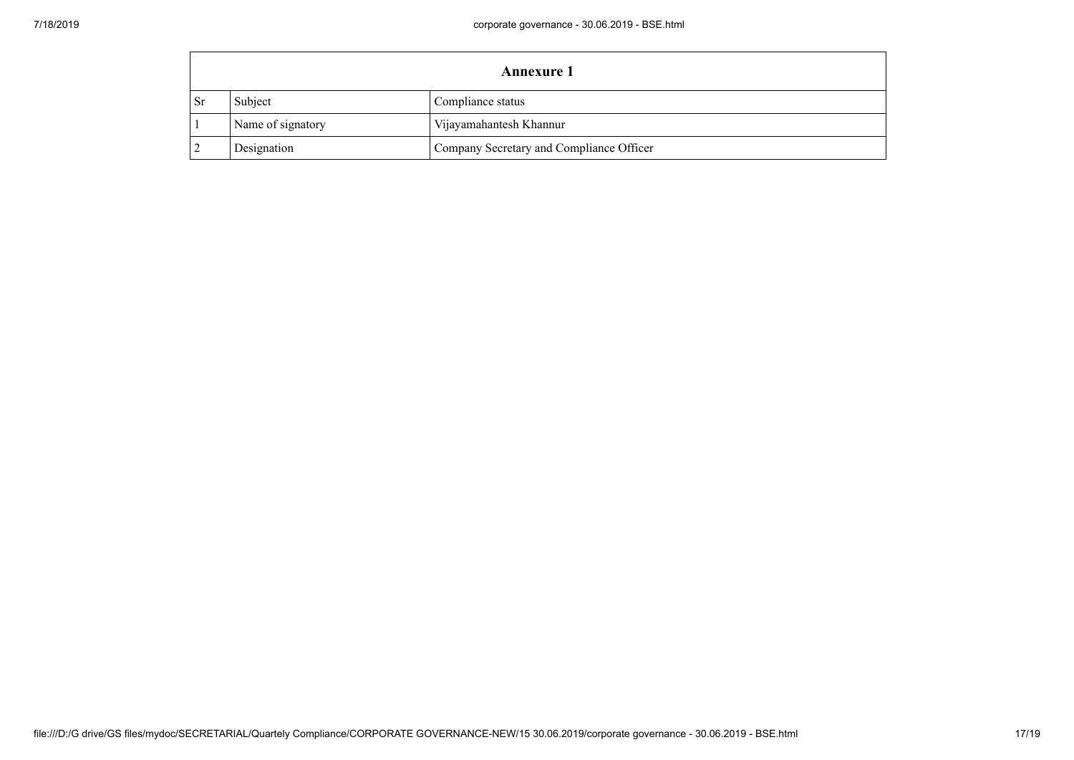|      | Annexure 1        |                                          |  |
|------|-------------------|------------------------------------------|--|
| - Sr | Subject           | Compliance status                        |  |
|      | Name of signatory | Vijayamahantesh Khannur                  |  |
|      | Designation       | Company Secretary and Compliance Officer |  |